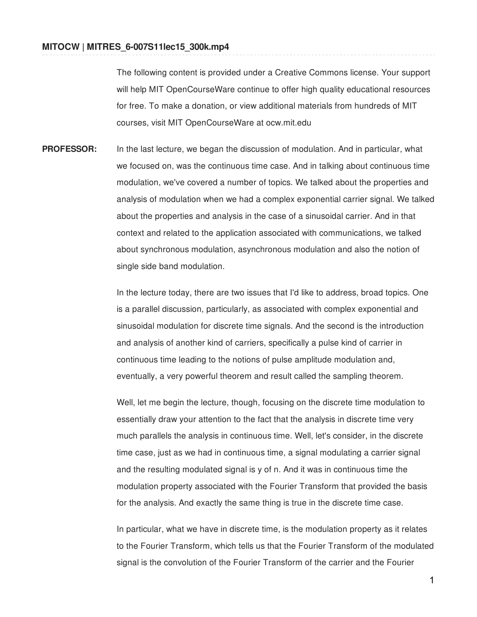The following content is provided under a Creative Commons license. Your support will help MIT OpenCourseWare continue to offer high quality educational resources for free. To make a donation, or view additional materials from hundreds of MIT courses, visit MIT OpenCourseWare at ocw.mit.edu

**PROFESSOR:** In the last lecture, we began the discussion of modulation. And in particular, what we focused on, was the continuous time case. And in talking about continuous time modulation, we've covered a number of topics. We talked about the properties and analysis of modulation when we had a complex exponential carrier signal. We talked about the properties and analysis in the case of a sinusoidal carrier. And in that context and related to the application associated with communications, we talked about synchronous modulation, asynchronous modulation and also the notion of single side band modulation.

> In the lecture today, there are two issues that I'd like to address, broad topics. One is a parallel discussion, particularly, as associated with complex exponential and sinusoidal modulation for discrete time signals. And the second is the introduction and analysis of another kind of carriers, specifically a pulse kind of carrier in continuous time leading to the notions of pulse amplitude modulation and, eventually, a very powerful theorem and result called the sampling theorem.

> Well, let me begin the lecture, though, focusing on the discrete time modulation to essentially draw your attention to the fact that the analysis in discrete time very much parallels the analysis in continuous time. Well, let's consider, in the discrete time case, just as we had in continuous time, a signal modulating a carrier signal and the resulting modulated signal is y of n. And it was in continuous time the modulation property associated with the Fourier Transform that provided the basis for the analysis. And exactly the same thing is true in the discrete time case.

In particular, what we have in discrete time, is the modulation property as it relates to the Fourier Transform, which tells us that the Fourier Transform of the modulated signal is the convolution of the Fourier Transform of the carrier and the Fourier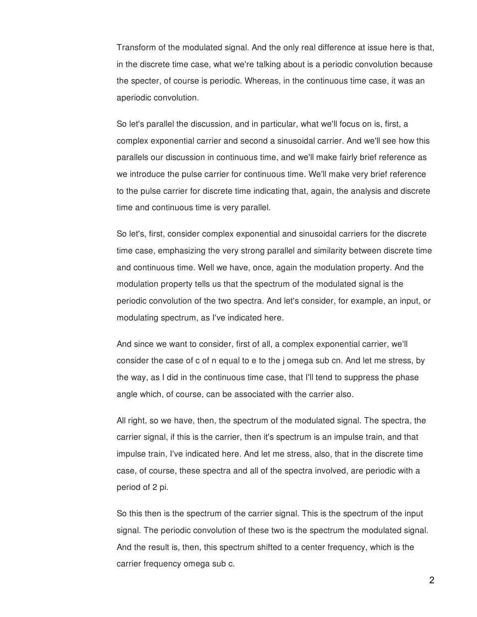Transform of the modulated signal. And the only real difference at issue here is that, in the discrete time case, what we're talking about is a periodic convolution because the specter, of course is periodic. Whereas, in the continuous time case, it was an aperiodic convolution.

So let's parallel the discussion, and in particular, what we'll focus on is, first, a complex exponential carrier and second a sinusoidal carrier. And we'll see how this parallels our discussion in continuous time, and we'll make fairly brief reference as we introduce the pulse carrier for continuous time. We'll make very brief reference to the pulse carrier for discrete time indicating that, again, the analysis and discrete time and continuous time is very parallel.

So let's, first, consider complex exponential and sinusoidal carriers for the discrete time case, emphasizing the very strong parallel and similarity between discrete time and continuous time. Well we have, once, again the modulation property. And the modulation property tells us that the spectrum of the modulated signal is the periodic convolution of the two spectra. And let's consider, for example, an input, or modulating spectrum, as I've indicated here.

And since we want to consider, first of all, a complex exponential carrier, we'll consider the case of c of n equal to e to the j omega sub cn. And let me stress, by the way, as I did in the continuous time case, that I'll tend to suppress the phase angle which, of course, can be associated with the carrier also.

All right, so we have, then, the spectrum of the modulated signal. The spectra, the carrier signal, if this is the carrier, then it's spectrum is an impulse train, and that impulse train, I've indicated here. And let me stress, also, that in the discrete time case, of course, these spectra and all of the spectra involved, are periodic with a period of 2 pi.

So this then is the spectrum of the carrier signal. This is the spectrum of the input signal. The periodic convolution of these two is the spectrum the modulated signal. And the result is, then, this spectrum shifted to a center frequency, which is the carrier frequency omega sub c.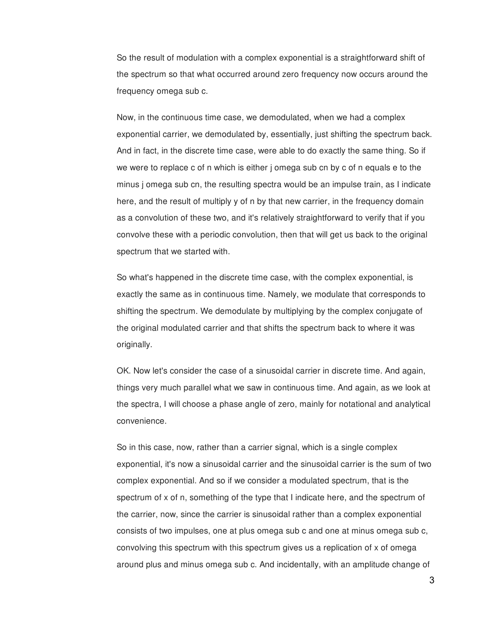So the result of modulation with a complex exponential is a straightforward shift of the spectrum so that what occurred around zero frequency now occurs around the frequency omega sub c.

Now, in the continuous time case, we demodulated, when we had a complex exponential carrier, we demodulated by, essentially, just shifting the spectrum back. And in fact, in the discrete time case, were able to do exactly the same thing. So if we were to replace c of n which is either j omega sub cn by c of n equals e to the minus j omega sub cn, the resulting spectra would be an impulse train, as I indicate here, and the result of multiply y of n by that new carrier, in the frequency domain as a convolution of these two, and it's relatively straightforward to verify that if you convolve these with a periodic convolution, then that will get us back to the original spectrum that we started with.

So what's happened in the discrete time case, with the complex exponential, is exactly the same as in continuous time. Namely, we modulate that corresponds to shifting the spectrum. We demodulate by multiplying by the complex conjugate of the original modulated carrier and that shifts the spectrum back to where it was originally.

OK. Now let's consider the case of a sinusoidal carrier in discrete time. And again, things very much parallel what we saw in continuous time. And again, as we look at the spectra, I will choose a phase angle of zero, mainly for notational and analytical convenience.

So in this case, now, rather than a carrier signal, which is a single complex exponential, it's now a sinusoidal carrier and the sinusoidal carrier is the sum of two complex exponential. And so if we consider a modulated spectrum, that is the spectrum of x of n, something of the type that I indicate here, and the spectrum of the carrier, now, since the carrier is sinusoidal rather than a complex exponential consists of two impulses, one at plus omega sub c and one at minus omega sub c, convolving this spectrum with this spectrum gives us a replication of x of omega around plus and minus omega sub c. And incidentally, with an amplitude change of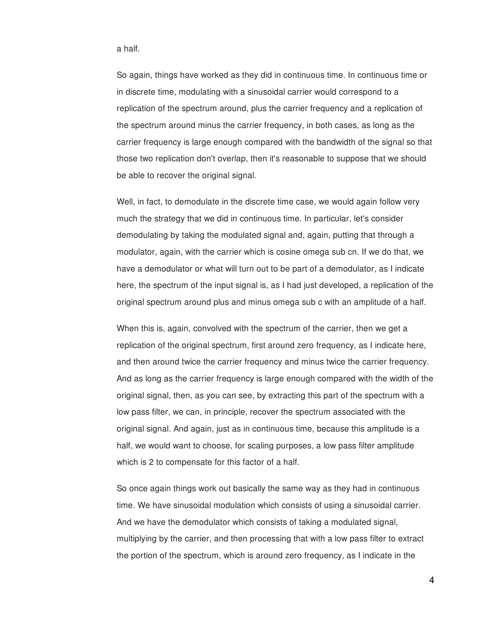a half.

So again, things have worked as they did in continuous time. In continuous time or in discrete time, modulating with a sinusoidal carrier would correspond to a replication of the spectrum around, plus the carrier frequency and a replication of the spectrum around minus the carrier frequency, in both cases, as long as the carrier frequency is large enough compared with the bandwidth of the signal so that those two replication don't overlap, then it's reasonable to suppose that we should be able to recover the original signal.

Well, in fact, to demodulate in the discrete time case, we would again follow very much the strategy that we did in continuous time. In particular, let's consider demodulating by taking the modulated signal and, again, putting that through a modulator, again, with the carrier which is cosine omega sub cn. If we do that, we have a demodulator or what will turn out to be part of a demodulator, as I indicate here, the spectrum of the input signal is, as I had just developed, a replication of the original spectrum around plus and minus omega sub c with an amplitude of a half.

When this is, again, convolved with the spectrum of the carrier, then we get a replication of the original spectrum, first around zero frequency, as I indicate here, and then around twice the carrier frequency and minus twice the carrier frequency. And as long as the carrier frequency is large enough compared with the width of the original signal, then, as you can see, by extracting this part of the spectrum with a low pass filter, we can, in principle, recover the spectrum associated with the original signal. And again, just as in continuous time, because this amplitude is a half, we would want to choose, for scaling purposes, a low pass filter amplitude which is 2 to compensate for this factor of a half.

So once again things work out basically the same way as they had in continuous time. We have sinusoidal modulation which consists of using a sinusoidal carrier. And we have the demodulator which consists of taking a modulated signal, multiplying by the carrier, and then processing that with a low pass filter to extract the portion of the spectrum, which is around zero frequency, as I indicate in the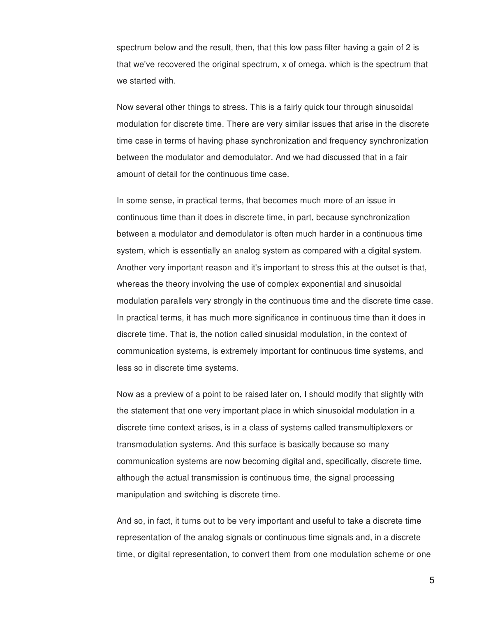spectrum below and the result, then, that this low pass filter having a gain of 2 is that we've recovered the original spectrum, x of omega, which is the spectrum that we started with.

Now several other things to stress. This is a fairly quick tour through sinusoidal modulation for discrete time. There are very similar issues that arise in the discrete time case in terms of having phase synchronization and frequency synchronization between the modulator and demodulator. And we had discussed that in a fair amount of detail for the continuous time case.

In some sense, in practical terms, that becomes much more of an issue in continuous time than it does in discrete time, in part, because synchronization between a modulator and demodulator is often much harder in a continuous time system, which is essentially an analog system as compared with a digital system. Another very important reason and it's important to stress this at the outset is that, whereas the theory involving the use of complex exponential and sinusoidal modulation parallels very strongly in the continuous time and the discrete time case. In practical terms, it has much more significance in continuous time than it does in discrete time. That is, the notion called sinusidal modulation, in the context of communication systems, is extremely important for continuous time systems, and less so in discrete time systems.

Now as a preview of a point to be raised later on, I should modify that slightly with the statement that one very important place in which sinusoidal modulation in a discrete time context arises, is in a class of systems called transmultiplexers or transmodulation systems. And this surface is basically because so many communication systems are now becoming digital and, specifically, discrete time, although the actual transmission is continuous time, the signal processing manipulation and switching is discrete time.

And so, in fact, it turns out to be very important and useful to take a discrete time representation of the analog signals or continuous time signals and, in a discrete time, or digital representation, to convert them from one modulation scheme or one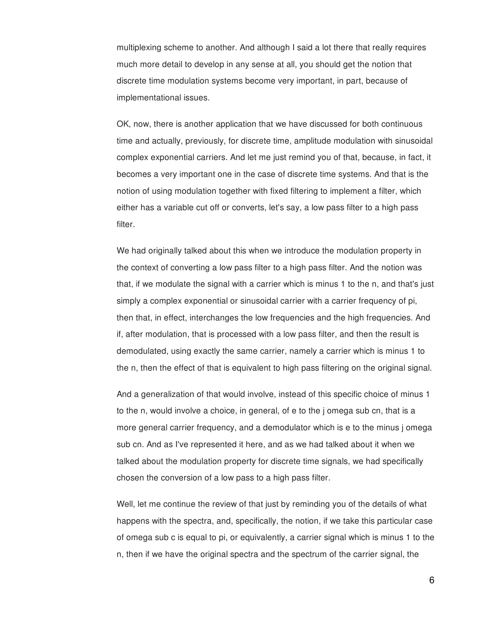multiplexing scheme to another. And although I said a lot there that really requires much more detail to develop in any sense at all, you should get the notion that discrete time modulation systems become very important, in part, because of implementational issues.

OK, now, there is another application that we have discussed for both continuous time and actually, previously, for discrete time, amplitude modulation with sinusoidal complex exponential carriers. And let me just remind you of that, because, in fact, it becomes a very important one in the case of discrete time systems. And that is the notion of using modulation together with fixed filtering to implement a filter, which either has a variable cut off or converts, let's say, a low pass filter to a high pass filter.

We had originally talked about this when we introduce the modulation property in the context of converting a low pass filter to a high pass filter. And the notion was that, if we modulate the signal with a carrier which is minus 1 to the n, and that's just simply a complex exponential or sinusoidal carrier with a carrier frequency of pi, then that, in effect, interchanges the low frequencies and the high frequencies. And if, after modulation, that is processed with a low pass filter, and then the result is demodulated, using exactly the same carrier, namely a carrier which is minus 1 to the n, then the effect of that is equivalent to high pass filtering on the original signal.

And a generalization of that would involve, instead of this specific choice of minus 1 to the n, would involve a choice, in general, of e to the j omega sub cn, that is a more general carrier frequency, and a demodulator which is e to the minus j omega sub cn. And as I've represented it here, and as we had talked about it when we talked about the modulation property for discrete time signals, we had specifically chosen the conversion of a low pass to a high pass filter.

Well, let me continue the review of that just by reminding you of the details of what happens with the spectra, and, specifically, the notion, if we take this particular case of omega sub c is equal to pi, or equivalently, a carrier signal which is minus 1 to the n, then if we have the original spectra and the spectrum of the carrier signal, the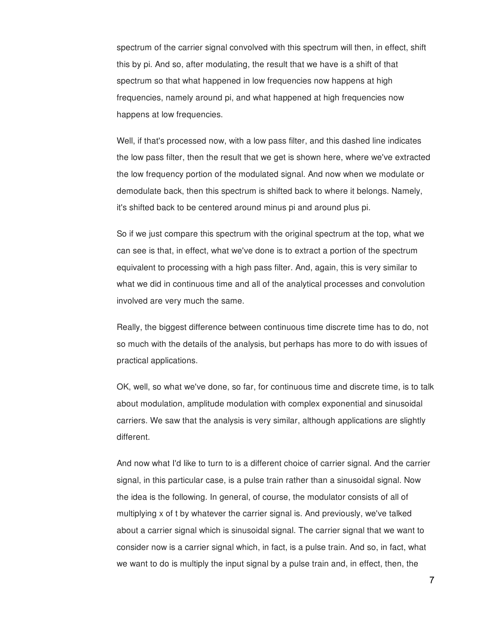spectrum of the carrier signal convolved with this spectrum will then, in effect, shift this by pi. And so, after modulating, the result that we have is a shift of that spectrum so that what happened in low frequencies now happens at high frequencies, namely around pi, and what happened at high frequencies now happens at low frequencies.

Well, if that's processed now, with a low pass filter, and this dashed line indicates the low pass filter, then the result that we get is shown here, where we've extracted the low frequency portion of the modulated signal. And now when we modulate or demodulate back, then this spectrum is shifted back to where it belongs. Namely, it's shifted back to be centered around minus pi and around plus pi.

So if we just compare this spectrum with the original spectrum at the top, what we can see is that, in effect, what we've done is to extract a portion of the spectrum equivalent to processing with a high pass filter. And, again, this is very similar to what we did in continuous time and all of the analytical processes and convolution involved are very much the same.

Really, the biggest difference between continuous time discrete time has to do, not so much with the details of the analysis, but perhaps has more to do with issues of practical applications.

OK, well, so what we've done, so far, for continuous time and discrete time, is to talk about modulation, amplitude modulation with complex exponential and sinusoidal carriers. We saw that the analysis is very similar, although applications are slightly different.

And now what I'd like to turn to is a different choice of carrier signal. And the carrier signal, in this particular case, is a pulse train rather than a sinusoidal signal. Now the idea is the following. In general, of course, the modulator consists of all of multiplying x of t by whatever the carrier signal is. And previously, we've talked about a carrier signal which is sinusoidal signal. The carrier signal that we want to consider now is a carrier signal which, in fact, is a pulse train. And so, in fact, what we want to do is multiply the input signal by a pulse train and, in effect, then, the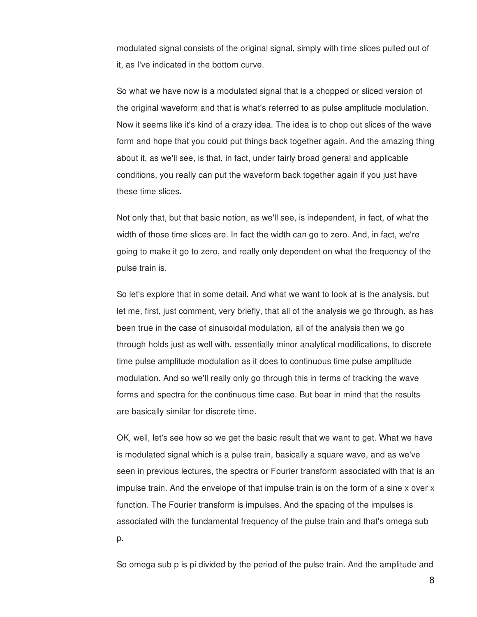modulated signal consists of the original signal, simply with time slices pulled out of it, as I've indicated in the bottom curve.

So what we have now is a modulated signal that is a chopped or sliced version of the original waveform and that is what's referred to as pulse amplitude modulation. Now it seems like it's kind of a crazy idea. The idea is to chop out slices of the wave form and hope that you could put things back together again. And the amazing thing about it, as we'll see, is that, in fact, under fairly broad general and applicable conditions, you really can put the waveform back together again if you just have these time slices.

Not only that, but that basic notion, as we'll see, is independent, in fact, of what the width of those time slices are. In fact the width can go to zero. And, in fact, we're going to make it go to zero, and really only dependent on what the frequency of the pulse train is.

So let's explore that in some detail. And what we want to look at is the analysis, but let me, first, just comment, very briefly, that all of the analysis we go through, as has been true in the case of sinusoidal modulation, all of the analysis then we go through holds just as well with, essentially minor analytical modifications, to discrete time pulse amplitude modulation as it does to continuous time pulse amplitude modulation. And so we'll really only go through this in terms of tracking the wave forms and spectra for the continuous time case. But bear in mind that the results are basically similar for discrete time.

OK, well, let's see how so we get the basic result that we want to get. What we have is modulated signal which is a pulse train, basically a square wave, and as we've seen in previous lectures, the spectra or Fourier transform associated with that is an impulse train. And the envelope of that impulse train is on the form of a sine x over x function. The Fourier transform is impulses. And the spacing of the impulses is associated with the fundamental frequency of the pulse train and that's omega sub p.

So omega sub p is pi divided by the period of the pulse train. And the amplitude and

8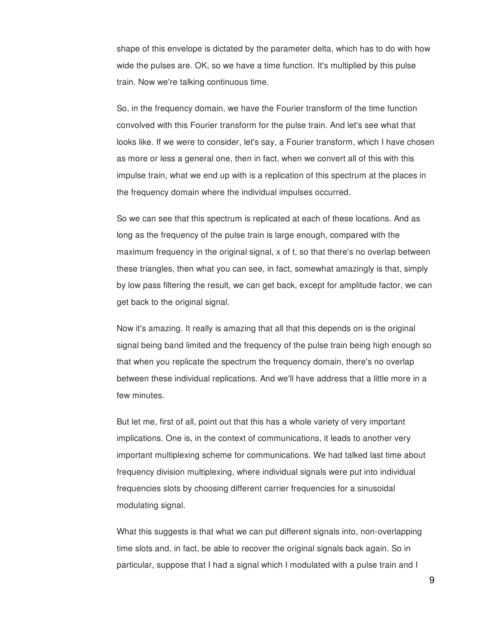shape of this envelope is dictated by the parameter delta, which has to do with how wide the pulses are. OK, so we have a time function. It's multiplied by this pulse train. Now we're talking continuous time.

So, in the frequency domain, we have the Fourier transform of the time function convolved with this Fourier transform for the pulse train. And let's see what that looks like. If we were to consider, let's say, a Fourier transform, which I have chosen as more or less a general one, then in fact, when we convert all of this with this impulse train, what we end up with is a replication of this spectrum at the places in the frequency domain where the individual impulses occurred.

So we can see that this spectrum is replicated at each of these locations. And as long as the frequency of the pulse train is large enough, compared with the maximum frequency in the original signal, x of t, so that there's no overlap between these triangles, then what you can see, in fact, somewhat amazingly is that, simply by low pass filtering the result, we can get back, except for amplitude factor, we can get back to the original signal.

Now it's amazing. It really is amazing that all that this depends on is the original signal being band limited and the frequency of the pulse train being high enough so that when you replicate the spectrum the frequency domain, there's no overlap between these individual replications. And we'll have address that a little more in a few minutes.

But let me, first of all, point out that this has a whole variety of very important implications. One is, in the context of communications, it leads to another very important multiplexing scheme for communications. We had talked last time about frequency division multiplexing, where individual signals were put into individual frequencies slots by choosing different carrier frequencies for a sinusoidal modulating signal.

What this suggests is that what we can put different signals into, non-overlapping time slots and, in fact, be able to recover the original signals back again. So in particular, suppose that I had a signal which I modulated with a pulse train and I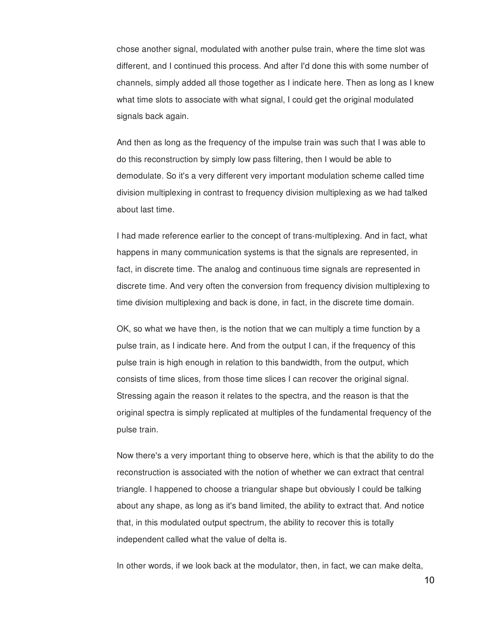chose another signal, modulated with another pulse train, where the time slot was different, and I continued this process. And after I'd done this with some number of channels, simply added all those together as I indicate here. Then as long as I knew what time slots to associate with what signal, I could get the original modulated signals back again.

And then as long as the frequency of the impulse train was such that I was able to do this reconstruction by simply low pass filtering, then I would be able to demodulate. So it's a very different very important modulation scheme called time division multiplexing in contrast to frequency division multiplexing as we had talked about last time.

I had made reference earlier to the concept of trans-multiplexing. And in fact, what happens in many communication systems is that the signals are represented, in fact, in discrete time. The analog and continuous time signals are represented in discrete time. And very often the conversion from frequency division multiplexing to time division multiplexing and back is done, in fact, in the discrete time domain.

OK, so what we have then, is the notion that we can multiply a time function by a pulse train, as I indicate here. And from the output I can, if the frequency of this pulse train is high enough in relation to this bandwidth, from the output, which consists of time slices, from those time slices I can recover the original signal. Stressing again the reason it relates to the spectra, and the reason is that the original spectra is simply replicated at multiples of the fundamental frequency of the pulse train.

Now there's a very important thing to observe here, which is that the ability to do the reconstruction is associated with the notion of whether we can extract that central triangle. I happened to choose a triangular shape but obviously I could be talking about any shape, as long as it's band limited, the ability to extract that. And notice that, in this modulated output spectrum, the ability to recover this is totally independent called what the value of delta is.

In other words, if we look back at the modulator, then, in fact, we can make delta,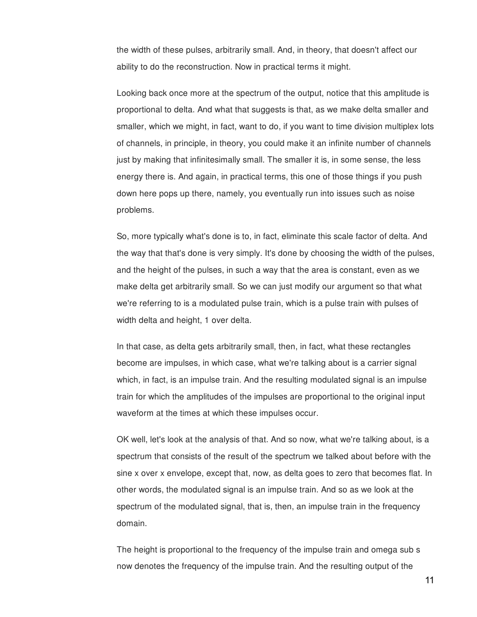the width of these pulses, arbitrarily small. And, in theory, that doesn't affect our ability to do the reconstruction. Now in practical terms it might.

Looking back once more at the spectrum of the output, notice that this amplitude is proportional to delta. And what that suggests is that, as we make delta smaller and smaller, which we might, in fact, want to do, if you want to time division multiplex lots of channels, in principle, in theory, you could make it an infinite number of channels just by making that infinitesimally small. The smaller it is, in some sense, the less energy there is. And again, in practical terms, this one of those things if you push down here pops up there, namely, you eventually run into issues such as noise problems.

So, more typically what's done is to, in fact, eliminate this scale factor of delta. And the way that that's done is very simply. It's done by choosing the width of the pulses, and the height of the pulses, in such a way that the area is constant, even as we make delta get arbitrarily small. So we can just modify our argument so that what we're referring to is a modulated pulse train, which is a pulse train with pulses of width delta and height, 1 over delta.

In that case, as delta gets arbitrarily small, then, in fact, what these rectangles become are impulses, in which case, what we're talking about is a carrier signal which, in fact, is an impulse train. And the resulting modulated signal is an impulse train for which the amplitudes of the impulses are proportional to the original input waveform at the times at which these impulses occur.

OK well, let's look at the analysis of that. And so now, what we're talking about, is a spectrum that consists of the result of the spectrum we talked about before with the sine x over x envelope, except that, now, as delta goes to zero that becomes flat. In other words, the modulated signal is an impulse train. And so as we look at the spectrum of the modulated signal, that is, then, an impulse train in the frequency domain.

The height is proportional to the frequency of the impulse train and omega sub s now denotes the frequency of the impulse train. And the resulting output of the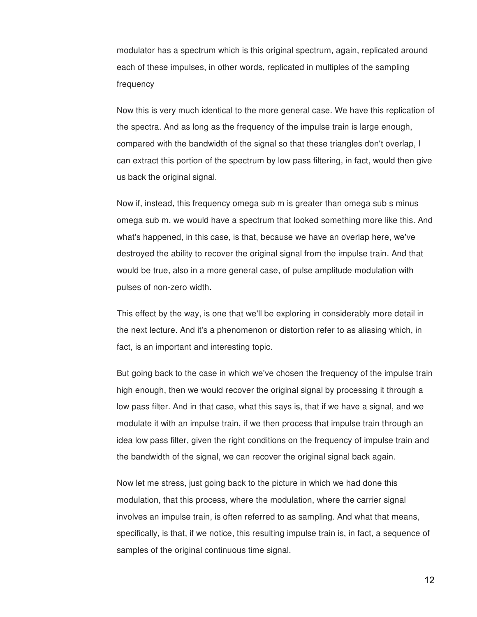modulator has a spectrum which is this original spectrum, again, replicated around each of these impulses, in other words, replicated in multiples of the sampling frequency

Now this is very much identical to the more general case. We have this replication of the spectra. And as long as the frequency of the impulse train is large enough, compared with the bandwidth of the signal so that these triangles don't overlap, I can extract this portion of the spectrum by low pass filtering, in fact, would then give us back the original signal.

Now if, instead, this frequency omega sub m is greater than omega sub s minus omega sub m, we would have a spectrum that looked something more like this. And what's happened, in this case, is that, because we have an overlap here, we've destroyed the ability to recover the original signal from the impulse train. And that would be true, also in a more general case, of pulse amplitude modulation with pulses of non-zero width.

This effect by the way, is one that we'll be exploring in considerably more detail in the next lecture. And it's a phenomenon or distortion refer to as aliasing which, in fact, is an important and interesting topic.

But going back to the case in which we've chosen the frequency of the impulse train high enough, then we would recover the original signal by processing it through a low pass filter. And in that case, what this says is, that if we have a signal, and we modulate it with an impulse train, if we then process that impulse train through an idea low pass filter, given the right conditions on the frequency of impulse train and the bandwidth of the signal, we can recover the original signal back again.

Now let me stress, just going back to the picture in which we had done this modulation, that this process, where the modulation, where the carrier signal involves an impulse train, is often referred to as sampling. And what that means, specifically, is that, if we notice, this resulting impulse train is, in fact, a sequence of samples of the original continuous time signal.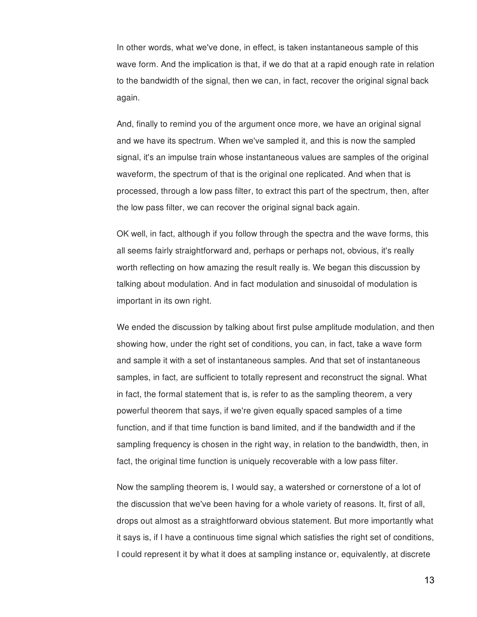In other words, what we've done, in effect, is taken instantaneous sample of this wave form. And the implication is that, if we do that at a rapid enough rate in relation to the bandwidth of the signal, then we can, in fact, recover the original signal back again.

And, finally to remind you of the argument once more, we have an original signal and we have its spectrum. When we've sampled it, and this is now the sampled signal, it's an impulse train whose instantaneous values are samples of the original waveform, the spectrum of that is the original one replicated. And when that is processed, through a low pass filter, to extract this part of the spectrum, then, after the low pass filter, we can recover the original signal back again.

OK well, in fact, although if you follow through the spectra and the wave forms, this all seems fairly straightforward and, perhaps or perhaps not, obvious, it's really worth reflecting on how amazing the result really is. We began this discussion by talking about modulation. And in fact modulation and sinusoidal of modulation is important in its own right.

We ended the discussion by talking about first pulse amplitude modulation, and then showing how, under the right set of conditions, you can, in fact, take a wave form and sample it with a set of instantaneous samples. And that set of instantaneous samples, in fact, are sufficient to totally represent and reconstruct the signal. What in fact, the formal statement that is, is refer to as the sampling theorem, a very powerful theorem that says, if we're given equally spaced samples of a time function, and if that time function is band limited, and if the bandwidth and if the sampling frequency is chosen in the right way, in relation to the bandwidth, then, in fact, the original time function is uniquely recoverable with a low pass filter.

Now the sampling theorem is, I would say, a watershed or cornerstone of a lot of the discussion that we've been having for a whole variety of reasons. It, first of all, drops out almost as a straightforward obvious statement. But more importantly what it says is, if I have a continuous time signal which satisfies the right set of conditions, I could represent it by what it does at sampling instance or, equivalently, at discrete